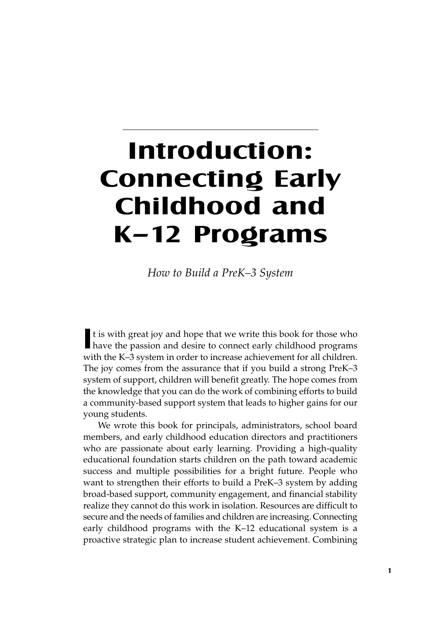## **Introduction: Connecting Early Childhood and K–12 Programs**

*How to Build a PreK–3 System*

If is with great joy and hope that we write this book for those who have the passion and desire to connect early childhood programs t is with great joy and hope that we write this book for those who with the K–3 system in order to increase achievement for all children. The joy comes from the assurance that if you build a strong PreK–3 system of support, children will benefit greatly. The hope comes from the knowledge that you can do the work of combining efforts to build a community-based support system that leads to higher gains for our young students.

We wrote this book for principals, administrators, school board members, and early childhood education directors and practitioners who are passionate about early learning. Providing a high-quality educational foundation starts children on the path toward academic success and multiple possibilities for a bright future. People who want to strengthen their efforts to build a PreK–3 system by adding broad-based support, community engagement, and financial stability realize they cannot do this work in isolation. Resources are difficult to secure and the needs of families and children are increasing. Connecting early childhood programs with the K–12 educational system is a proactive strategic plan to increase student achievement. Combining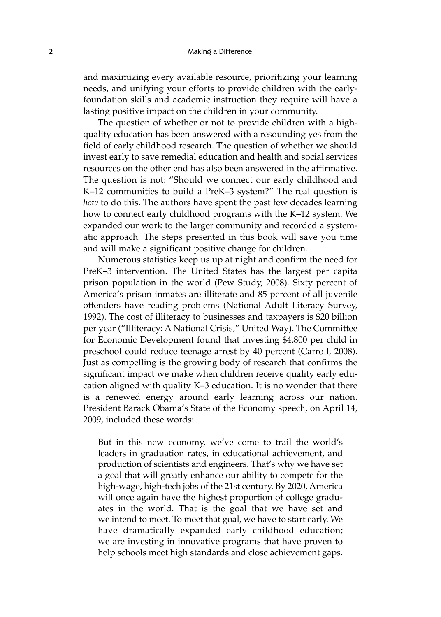and maximizing every available resource, prioritizing your learning needs, and unifying your efforts to provide children with the earlyfoundation skills and academic instruction they require will have a lasting positive impact on the children in your community.

The question of whether or not to provide children with a highquality education has been answered with a resounding yes from the field of early childhood research. The question of whether we should invest early to save remedial education and health and social services resources on the other end has also been answered in the affirmative. The question is not: "Should we connect our early childhood and K–12 communities to build a PreK–3 system?" The real question is *how* to do this. The authors have spent the past few decades learning how to connect early childhood programs with the K–12 system. We expanded our work to the larger community and recorded a systematic approach. The steps presented in this book will save you time and will make a significant positive change for children.

Numerous statistics keep us up at night and confirm the need for PreK–3 intervention. The United States has the largest per capita prison population in the world (Pew Study, 2008). Sixty percent of America's prison inmates are illiterate and 85 percent of all juvenile offenders have reading problems (National Adult Literacy Survey, 1992). The cost of illiteracy to businesses and taxpayers is \$20 billion per year ("Illiteracy: A National Crisis," United Way). The Committee for Economic Development found that investing \$4,800 per child in preschool could reduce teenage arrest by 40 percent (Carroll, 2008). Just as compelling is the growing body of research that confirms the significant impact we make when children receive quality early education aligned with quality K–3 education. It is no wonder that there is a renewed energy around early learning across our nation. President Barack Obama's State of the Economy speech, on April 14, 2009, included these words:

But in this new economy, we've come to trail the world's leaders in graduation rates, in educational achievement, and production of scientists and engineers. That's why we have set a goal that will greatly enhance our ability to compete for the high-wage, high-tech jobs of the 21st century. By 2020, America will once again have the highest proportion of college graduates in the world. That is the goal that we have set and we intend to meet. To meet that goal, we have to start early. We have dramatically expanded early childhood education; we are investing in innovative programs that have proven to help schools meet high standards and close achievement gaps.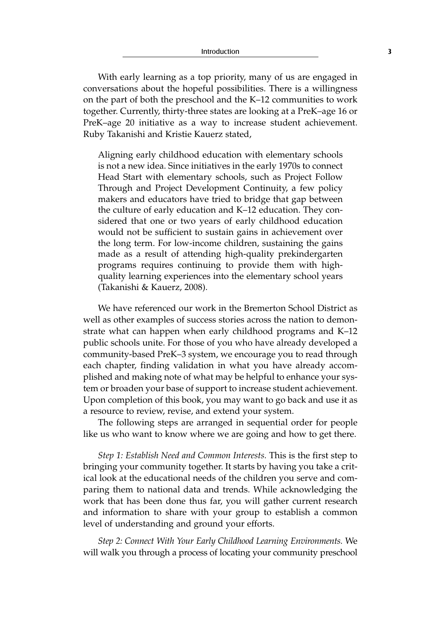With early learning as a top priority, many of us are engaged in conversations about the hopeful possibilities. There is a willingness on the part of both the preschool and the K–12 communities to work together. Currently, thirty-three states are looking at a PreK–age 16 or PreK–age 20 initiative as a way to increase student achievement. Ruby Takanishi and Kristie Kauerz stated,

Aligning early childhood education with elementary schools is not a new idea. Since initiatives in the early 1970s to connect Head Start with elementary schools, such as Project Follow Through and Project Development Continuity, a few policy makers and educators have tried to bridge that gap between the culture of early education and K–12 education. They considered that one or two years of early childhood education would not be sufficient to sustain gains in achievement over the long term. For low-income children, sustaining the gains made as a result of attending high-quality prekindergarten programs requires continuing to provide them with highquality learning experiences into the elementary school years (Takanishi & Kauerz, 2008).

We have referenced our work in the Bremerton School District as well as other examples of success stories across the nation to demonstrate what can happen when early childhood programs and K–12 public schools unite. For those of you who have already developed a community-based PreK–3 system, we encourage you to read through each chapter, finding validation in what you have already accomplished and making note of what may be helpful to enhance your system or broaden your base of support to increase student achievement. Upon completion of this book, you may want to go back and use it as a resource to review, revise, and extend your system.

The following steps are arranged in sequential order for people like us who want to know where we are going and how to get there.

*Step 1: Establish Need and Common Interests.* This is the first step to bringing your community together. It starts by having you take a critical look at the educational needs of the children you serve and comparing them to national data and trends. While acknowledging the work that has been done thus far, you will gather current research and information to share with your group to establish a common level of understanding and ground your efforts.

*Step 2: Connect With Your Early Childhood Learning Environments.* We will walk you through a process of locating your community preschool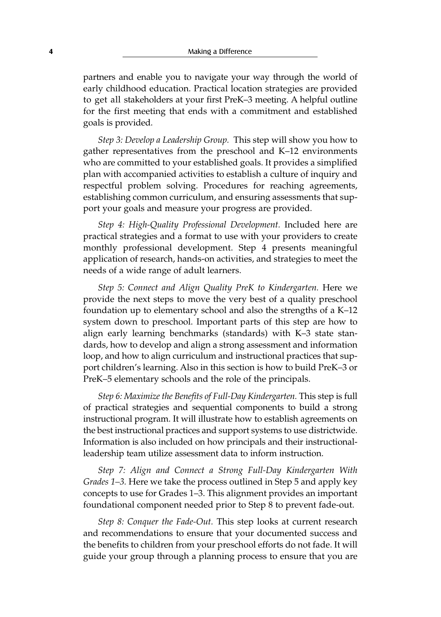partners and enable you to navigate your way through the world of early childhood education. Practical location strategies are provided to get all stakeholders at your first PreK–3 meeting. A helpful outline for the first meeting that ends with a commitment and established goals is provided.

*Step 3: Develop a Leadership Group.* This step will show you how to gather representatives from the preschool and K–12 environments who are committed to your established goals. It provides a simplified plan with accompanied activities to establish a culture of inquiry and respectful problem solving. Procedures for reaching agreements, establishing common curriculum, and ensuring assessments that support your goals and measure your progress are provided.

*Step 4: High-Quality Professional Development.* Included here are practical strategies and a format to use with your providers to create monthly professional development. Step 4 presents meaningful application of research, hands-on activities, and strategies to meet the needs of a wide range of adult learners.

*Step 5: Connect and Align Quality PreK to Kindergarten.* Here we provide the next steps to move the very best of a quality preschool foundation up to elementary school and also the strengths of a K–12 system down to preschool. Important parts of this step are how to align early learning benchmarks (standards) with K–3 state standards, how to develop and align a strong assessment and information loop, and how to align curriculum and instructional practices that support children's learning. Also in this section is how to build PreK–3 or PreK–5 elementary schools and the role of the principals.

*Step 6: Maximize the Benefits of Full-Day Kindergarten.* This step is full of practical strategies and sequential components to build a strong instructional program. It will illustrate how to establish agreements on the best instructional practices and support systems to use districtwide. Information is also included on how principals and their instructionalleadership team utilize assessment data to inform instruction.

*Step 7: Align and Connect a Strong Full-Day Kindergarten With Grades 1–3.* Here we take the process outlined in Step 5 and apply key concepts to use for Grades 1–3. This alignment provides an important foundational component needed prior to Step 8 to prevent fade-out.

*Step 8: Conquer the Fade-Out.* This step looks at current research and recommendations to ensure that your documented success and the benefits to children from your preschool efforts do not fade. It will guide your group through a planning process to ensure that you are